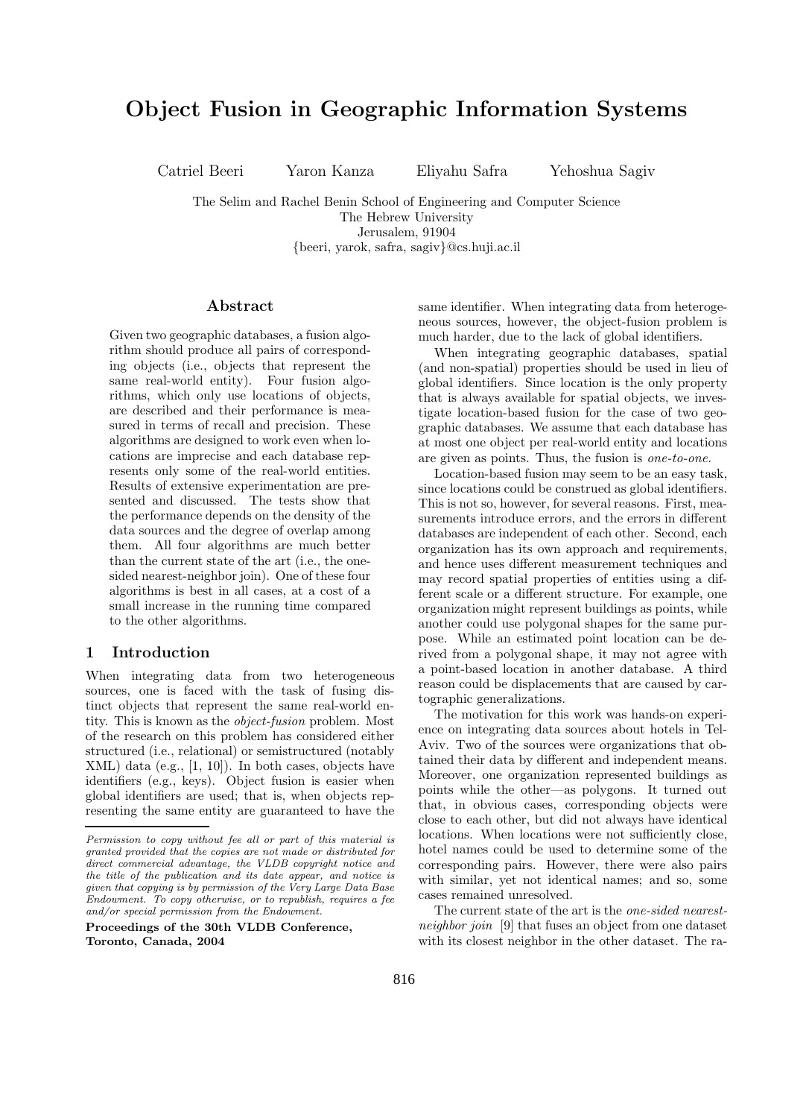# Object Fusion in Geographic Information Systems

Catriel Beeri Yaron Kanza Eliyahu Safra Yehoshua Sagiv

The Selim and Rachel Benin School of Engineering and Computer Science The Hebrew University Jerusalem, 91904 {beeri, yarok, safra, sagiv}@cs.huji.ac.il

## Abstract

Given two geographic databases, a fusion algorithm should produce all pairs of corresponding objects (i.e., objects that represent the same real-world entity). Four fusion algorithms, which only use locations of objects, are described and their performance is measured in terms of recall and precision. These algorithms are designed to work even when locations are imprecise and each database represents only some of the real-world entities. Results of extensive experimentation are presented and discussed. The tests show that the performance depends on the density of the data sources and the degree of overlap among them. All four algorithms are much better than the current state of the art (i.e., the onesided nearest-neighbor join). One of these four algorithms is best in all cases, at a cost of a small increase in the running time compared to the other algorithms.

## 1 Introduction

When integrating data from two heterogeneous sources, one is faced with the task of fusing distinct objects that represent the same real-world entity. This is known as the object-fusion problem. Most of the research on this problem has considered either structured (i.e., relational) or semistructured (notably XML) data (e.g., [1, 10]). In both cases, objects have identifiers (e.g., keys). Object fusion is easier when global identifiers are used; that is, when objects representing the same entity are guaranteed to have the

Proceedings of the 30th VLDB Conference, Toronto, Canada, 2004

same identifier. When integrating data from heterogeneous sources, however, the object-fusion problem is much harder, due to the lack of global identifiers.

When integrating geographic databases, spatial (and non-spatial) properties should be used in lieu of global identifiers. Since location is the only property that is always available for spatial objects, we investigate location-based fusion for the case of two geographic databases. We assume that each database has at most one object per real-world entity and locations are given as points. Thus, the fusion is one-to-one.

Location-based fusion may seem to be an easy task, since locations could be construed as global identifiers. This is not so, however, for several reasons. First, measurements introduce errors, and the errors in different databases are independent of each other. Second, each organization has its own approach and requirements, and hence uses different measurement techniques and may record spatial properties of entities using a different scale or a different structure. For example, one organization might represent buildings as points, while another could use polygonal shapes for the same purpose. While an estimated point location can be derived from a polygonal shape, it may not agree with a point-based location in another database. A third reason could be displacements that are caused by cartographic generalizations.

The motivation for this work was hands-on experience on integrating data sources about hotels in Tel-Aviv. Two of the sources were organizations that obtained their data by different and independent means. Moreover, one organization represented buildings as points while the other—as polygons. It turned out that, in obvious cases, corresponding objects were close to each other, but did not always have identical locations. When locations were not sufficiently close, hotel names could be used to determine some of the corresponding pairs. However, there were also pairs with similar, yet not identical names; and so, some cases remained unresolved.

The current state of the art is the one-sided nearestneighbor join [9] that fuses an object from one dataset with its closest neighbor in the other dataset. The ra-

Permission to copy without fee all or part of this material is granted provided that the copies are not made or distributed for direct commercial advantage, the VLDB copyright notice and the title of the publication and its date appear, and notice is given that copying is by permission of the Very Large Data Base Endowment. To copy otherwise, or to republish, requires a fee and/or special permission from the Endowment.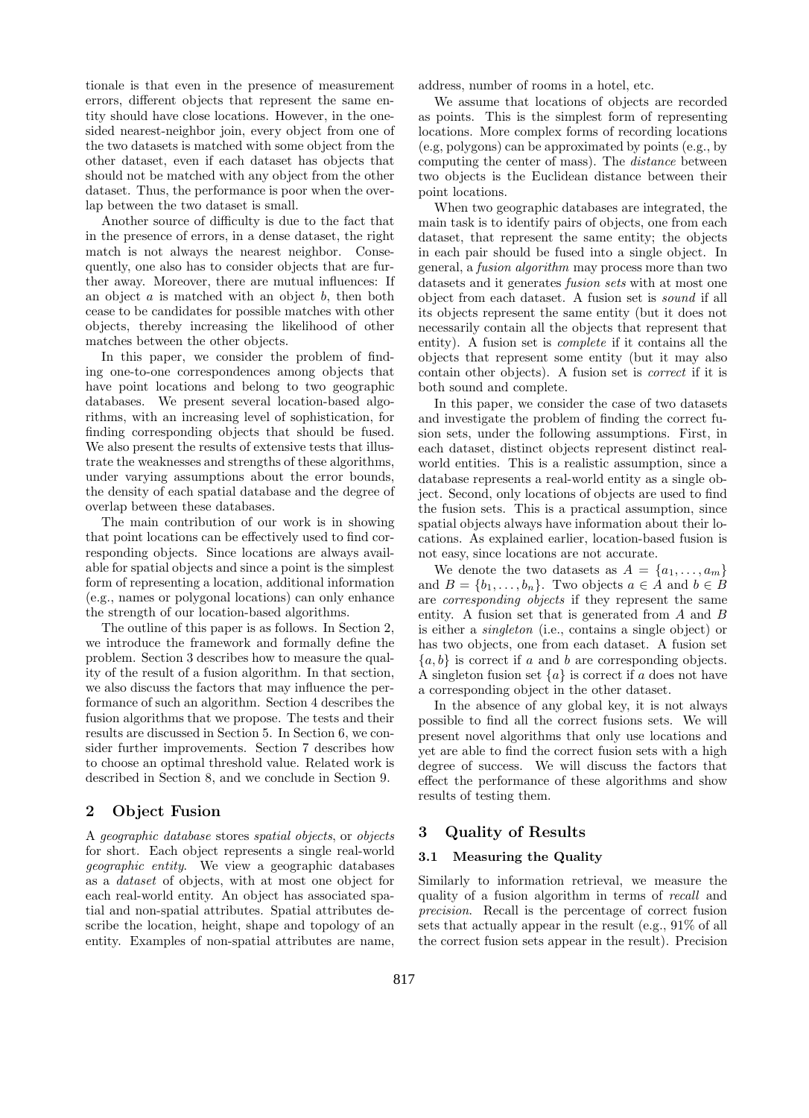tionale is that even in the presence of measurement errors, different objects that represent the same entity should have close locations. However, in the onesided nearest-neighbor join, every object from one of the two datasets is matched with some object from the other dataset, even if each dataset has objects that should not be matched with any object from the other dataset. Thus, the performance is poor when the overlap between the two dataset is small.

Another source of difficulty is due to the fact that in the presence of errors, in a dense dataset, the right match is not always the nearest neighbor. Consequently, one also has to consider objects that are further away. Moreover, there are mutual influences: If an object  $a$  is matched with an object  $b$ , then both cease to be candidates for possible matches with other objects, thereby increasing the likelihood of other matches between the other objects.

In this paper, we consider the problem of finding one-to-one correspondences among objects that have point locations and belong to two geographic databases. We present several location-based algorithms, with an increasing level of sophistication, for finding corresponding objects that should be fused. We also present the results of extensive tests that illustrate the weaknesses and strengths of these algorithms, under varying assumptions about the error bounds, the density of each spatial database and the degree of overlap between these databases.

The main contribution of our work is in showing that point locations can be effectively used to find corresponding objects. Since locations are always available for spatial objects and since a point is the simplest form of representing a location, additional information (e.g., names or polygonal locations) can only enhance the strength of our location-based algorithms.

The outline of this paper is as follows. In Section 2, we introduce the framework and formally define the problem. Section 3 describes how to measure the quality of the result of a fusion algorithm. In that section, we also discuss the factors that may influence the performance of such an algorithm. Section 4 describes the fusion algorithms that we propose. The tests and their results are discussed in Section 5. In Section 6, we consider further improvements. Section 7 describes how to choose an optimal threshold value. Related work is described in Section 8, and we conclude in Section 9.

# 2 Object Fusion

A geographic database stores spatial objects, or objects for short. Each object represents a single real-world geographic entity. We view a geographic databases as a dataset of objects, with at most one object for each real-world entity. An object has associated spatial and non-spatial attributes. Spatial attributes describe the location, height, shape and topology of an entity. Examples of non-spatial attributes are name,

address, number of rooms in a hotel, etc.

We assume that locations of objects are recorded as points. This is the simplest form of representing locations. More complex forms of recording locations (e.g, polygons) can be approximated by points (e.g., by computing the center of mass). The distance between two objects is the Euclidean distance between their point locations.

When two geographic databases are integrated, the main task is to identify pairs of objects, one from each dataset, that represent the same entity; the objects in each pair should be fused into a single object. In general, a fusion algorithm may process more than two datasets and it generates fusion sets with at most one object from each dataset. A fusion set is sound if all its objects represent the same entity (but it does not necessarily contain all the objects that represent that entity). A fusion set is complete if it contains all the objects that represent some entity (but it may also contain other objects). A fusion set is correct if it is both sound and complete.

In this paper, we consider the case of two datasets and investigate the problem of finding the correct fusion sets, under the following assumptions. First, in each dataset, distinct objects represent distinct realworld entities. This is a realistic assumption, since a database represents a real-world entity as a single object. Second, only locations of objects are used to find the fusion sets. This is a practical assumption, since spatial objects always have information about their locations. As explained earlier, location-based fusion is not easy, since locations are not accurate.

We denote the two datasets as  $A = \{a_1, \ldots, a_m\}$ and  $B = \{b_1, \ldots, b_n\}$ . Two objects  $a \in A$  and  $b \in B$ are corresponding objects if they represent the same entity. A fusion set that is generated from A and B is either a singleton (i.e., contains a single object) or has two objects, one from each dataset. A fusion set  ${a, b}$  is correct if a and b are corresponding objects. A singleton fusion set  $\{a\}$  is correct if a does not have a corresponding object in the other dataset.

In the absence of any global key, it is not always possible to find all the correct fusions sets. We will present novel algorithms that only use locations and yet are able to find the correct fusion sets with a high degree of success. We will discuss the factors that effect the performance of these algorithms and show results of testing them.

# 3 Quality of Results

# 3.1 Measuring the Quality

Similarly to information retrieval, we measure the quality of a fusion algorithm in terms of recall and precision. Recall is the percentage of correct fusion sets that actually appear in the result (e.g., 91% of all the correct fusion sets appear in the result). Precision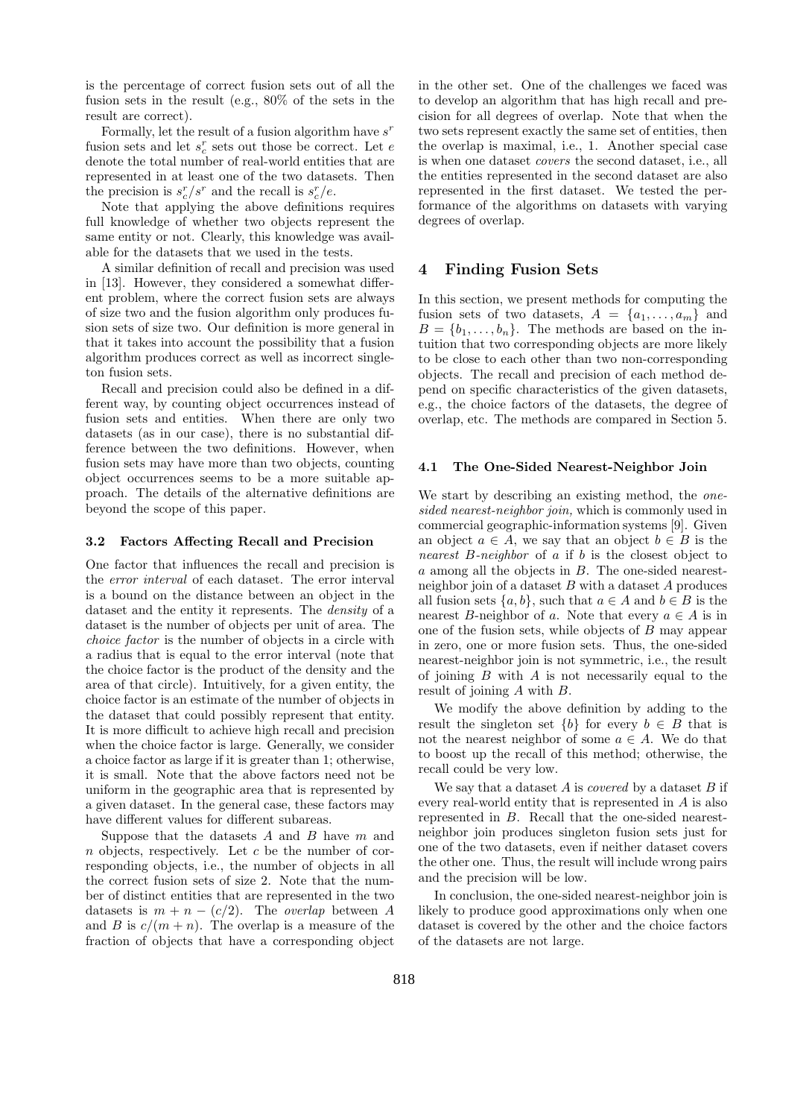is the percentage of correct fusion sets out of all the fusion sets in the result (e.g., 80% of the sets in the result are correct).

Formally, let the result of a fusion algorithm have  $s^r$ fusion sets and let  $s^{r}_{c}$  sets out those be correct. Let  $e$ denote the total number of real-world entities that are represented in at least one of the two datasets. Then the precision is  $s_c^r/s^r$  and the recall is  $s_c^r/e$ .

Note that applying the above definitions requires full knowledge of whether two objects represent the same entity or not. Clearly, this knowledge was available for the datasets that we used in the tests.

A similar definition of recall and precision was used in [13]. However, they considered a somewhat different problem, where the correct fusion sets are always of size two and the fusion algorithm only produces fusion sets of size two. Our definition is more general in that it takes into account the possibility that a fusion algorithm produces correct as well as incorrect singleton fusion sets.

Recall and precision could also be defined in a different way, by counting object occurrences instead of fusion sets and entities. When there are only two datasets (as in our case), there is no substantial difference between the two definitions. However, when fusion sets may have more than two objects, counting object occurrences seems to be a more suitable approach. The details of the alternative definitions are beyond the scope of this paper.

## 3.2 Factors Affecting Recall and Precision

One factor that influences the recall and precision is the error interval of each dataset. The error interval is a bound on the distance between an object in the dataset and the entity it represents. The *density* of a dataset is the number of objects per unit of area. The choice factor is the number of objects in a circle with a radius that is equal to the error interval (note that the choice factor is the product of the density and the area of that circle). Intuitively, for a given entity, the choice factor is an estimate of the number of objects in the dataset that could possibly represent that entity. It is more difficult to achieve high recall and precision when the choice factor is large. Generally, we consider a choice factor as large if it is greater than 1; otherwise, it is small. Note that the above factors need not be uniform in the geographic area that is represented by a given dataset. In the general case, these factors may have different values for different subareas.

Suppose that the datasets  $A$  and  $B$  have  $m$  and  $n$  objects, respectively. Let  $c$  be the number of corresponding objects, i.e., the number of objects in all the correct fusion sets of size 2. Note that the number of distinct entities that are represented in the two datasets is  $m + n - (c/2)$ . The *overlap* between A and B is  $c/(m+n)$ . The overlap is a measure of the fraction of objects that have a corresponding object

in the other set. One of the challenges we faced was to develop an algorithm that has high recall and precision for all degrees of overlap. Note that when the two sets represent exactly the same set of entities, then the overlap is maximal, i.e., 1. Another special case is when one dataset covers the second dataset, i.e., all the entities represented in the second dataset are also represented in the first dataset. We tested the performance of the algorithms on datasets with varying degrees of overlap.

# 4 Finding Fusion Sets

In this section, we present methods for computing the fusion sets of two datasets,  $A = \{a_1, \ldots, a_m\}$  and  $B = \{b_1, \ldots, b_n\}$ . The methods are based on the intuition that two corresponding objects are more likely to be close to each other than two non-corresponding objects. The recall and precision of each method depend on specific characteristics of the given datasets, e.g., the choice factors of the datasets, the degree of overlap, etc. The methods are compared in Section 5.

## 4.1 The One-Sided Nearest-Neighbor Join

We start by describing an existing method, the onesided nearest-neighbor join, which is commonly used in commercial geographic-information systems [9]. Given an object  $a \in A$ , we say that an object  $b \in B$  is the nearest B-neighbor of a if b is the closest object to a among all the objects in B. The one-sided nearestneighbor join of a dataset  $B$  with a dataset  $A$  produces all fusion sets  $\{a, b\}$ , such that  $a \in A$  and  $b \in B$  is the nearest B-neighbor of a. Note that every  $a \in A$  is in one of the fusion sets, while objects of B may appear in zero, one or more fusion sets. Thus, the one-sided nearest-neighbor join is not symmetric, i.e., the result of joining  $B$  with  $A$  is not necessarily equal to the result of joining A with B.

We modify the above definition by adding to the result the singleton set  ${b}$  for every  $b \in B$  that is not the nearest neighbor of some  $a \in A$ . We do that to boost up the recall of this method; otherwise, the recall could be very low.

We say that a dataset  $A$  is *covered* by a dataset  $B$  if every real-world entity that is represented in A is also represented in B. Recall that the one-sided nearestneighbor join produces singleton fusion sets just for one of the two datasets, even if neither dataset covers the other one. Thus, the result will include wrong pairs and the precision will be low.

In conclusion, the one-sided nearest-neighbor join is likely to produce good approximations only when one dataset is covered by the other and the choice factors of the datasets are not large.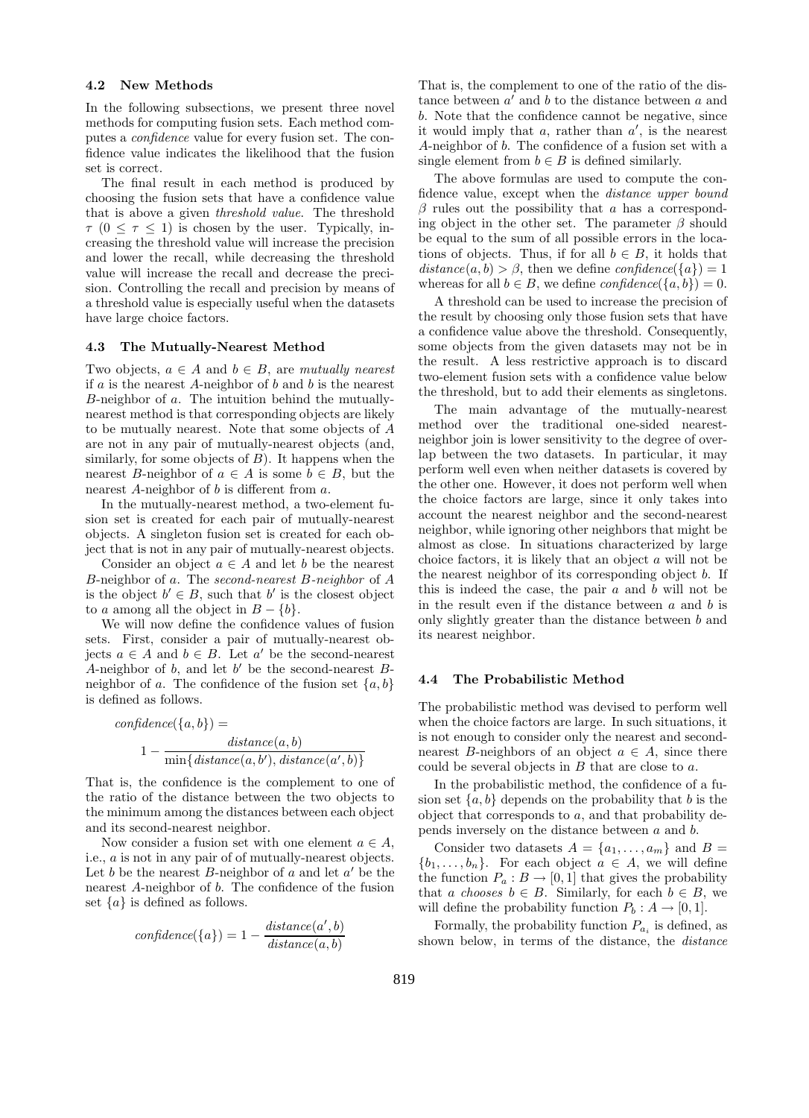#### 4.2 New Methods

In the following subsections, we present three novel methods for computing fusion sets. Each method computes a confidence value for every fusion set. The confidence value indicates the likelihood that the fusion set is correct.

The final result in each method is produced by choosing the fusion sets that have a confidence value that is above a given threshold value. The threshold  $\tau$  (0  $\leq \tau \leq$  1) is chosen by the user. Typically, increasing the threshold value will increase the precision and lower the recall, while decreasing the threshold value will increase the recall and decrease the precision. Controlling the recall and precision by means of a threshold value is especially useful when the datasets have large choice factors.

## 4.3 The Mutually-Nearest Method

Two objects,  $a \in A$  and  $b \in B$ , are mutually nearest if  $a$  is the nearest A-neighbor of  $b$  and  $b$  is the nearest B-neighbor of a. The intuition behind the mutuallynearest method is that corresponding objects are likely to be mutually nearest. Note that some objects of A are not in any pair of mutually-nearest objects (and, similarly, for some objects of  $B$ ). It happens when the nearest B-neighbor of  $a \in A$  is some  $b \in B$ , but the nearest A-neighbor of b is different from a.

In the mutually-nearest method, a two-element fusion set is created for each pair of mutually-nearest objects. A singleton fusion set is created for each object that is not in any pair of mutually-nearest objects.

Consider an object  $a \in A$  and let b be the nearest B-neighbor of a. The second-nearest B-neighbor of A is the object  $b' \in B$ , such that b' is the closest object to a among all the object in  $B - \{b\}.$ 

We will now define the confidence values of fusion sets. First, consider a pair of mutually-nearest objects  $a \in A$  and  $b \in B$ . Let  $a'$  be the second-nearest A-neighbor of b, and let b' be the second-nearest Bneighbor of a. The confidence of the fusion set  $\{a, b\}$ is defined as follows.

$$
confidence({a,b}) =
$$
  

$$
1 - \frac{distance(a,b)}{\min\{distance(a,b'), distance(a',b)\}}
$$

That is, the confidence is the complement to one of the ratio of the distance between the two objects to the minimum among the distances between each object and its second-nearest neighbor.

Now consider a fusion set with one element  $a \in A$ , i.e., a is not in any pair of of mutually-nearest objects. Let b be the nearest B-neighbor of  $\alpha$  and let  $\alpha'$  be the nearest A-neighbor of b. The confidence of the fusion set  $\{a\}$  is defined as follows.

$$
confidence(\lbrace a \rbrace) = 1 - \frac{distance(a',b)}{distance(a,b)}
$$

That is, the complement to one of the ratio of the distance between  $a'$  and b to the distance between a and b. Note that the confidence cannot be negative, since it would imply that  $a$ , rather than  $a'$ , is the nearest A-neighbor of b. The confidence of a fusion set with a single element from  $b \in B$  is defined similarly.

The above formulas are used to compute the confidence value, except when the distance upper bound  $\beta$  rules out the possibility that a has a corresponding object in the other set. The parameter  $\beta$  should be equal to the sum of all possible errors in the locations of objects. Thus, if for all  $b \in B$ , it holds that  $distance(a, b) > \beta$ , then we define  $confidence({a}) = 1$ whereas for all  $b \in B$ , we define  $confidence({a, b}) = 0$ .

A threshold can be used to increase the precision of the result by choosing only those fusion sets that have a confidence value above the threshold. Consequently, some objects from the given datasets may not be in the result. A less restrictive approach is to discard two-element fusion sets with a confidence value below the threshold, but to add their elements as singletons.

The main advantage of the mutually-nearest method over the traditional one-sided nearestneighbor join is lower sensitivity to the degree of overlap between the two datasets. In particular, it may perform well even when neither datasets is covered by the other one. However, it does not perform well when the choice factors are large, since it only takes into account the nearest neighbor and the second-nearest neighbor, while ignoring other neighbors that might be almost as close. In situations characterized by large choice factors, it is likely that an object a will not be the nearest neighbor of its corresponding object b. If this is indeed the case, the pair  $a$  and  $b$  will not be in the result even if the distance between  $a$  and  $b$  is only slightly greater than the distance between b and its nearest neighbor.

## 4.4 The Probabilistic Method

The probabilistic method was devised to perform well when the choice factors are large. In such situations, it is not enough to consider only the nearest and secondnearest B-neighbors of an object  $a \in A$ , since there could be several objects in B that are close to a.

In the probabilistic method, the confidence of a fusion set  $\{a, b\}$  depends on the probability that b is the object that corresponds to a, and that probability depends inversely on the distance between a and b.

Consider two datasets  $A = \{a_1, \ldots, a_m\}$  and  $B =$  ${b_1, \ldots, b_n}$ . For each object  $a \in A$ , we will define the function  $P_a: B \to [0,1]$  that gives the probability that a chooses  $b \in B$ . Similarly, for each  $b \in B$ , we will define the probability function  $P_b : A \rightarrow [0, 1]$ .

Formally, the probability function  $P_{a_i}$  is defined, as shown below, in terms of the distance, the distance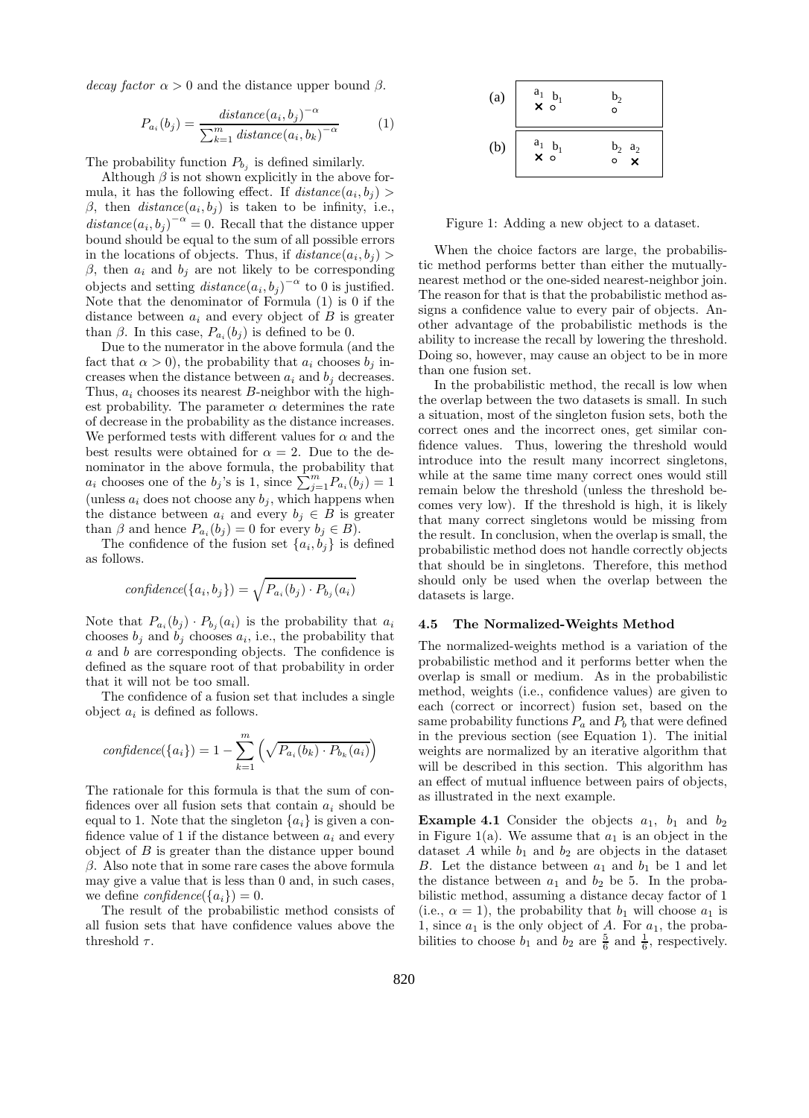decay factor  $\alpha > 0$  and the distance upper bound  $\beta$ .

$$
P_{a_i}(b_j) = \frac{distance(a_i, b_j)^{-\alpha}}{\sum_{k=1}^{m} distance(a_i, b_k)^{-\alpha}}
$$
 (1)

The probability function  $P_{b_j}$  is defined similarly.

Although  $\beta$  is not shown explicitly in the above formula, it has the following effect. If  $distance(a_i, b_j)$ β, then  $distance(a_i, b_j)$  is taken to be infinity, i.e.,  $distance(a_i, b_j)^{-\alpha} = 0$ . Recall that the distance upper bound should be equal to the sum of all possible errors in the locations of objects. Thus, if  $distance(a_i, b_j)$ β, then  $a_i$  and  $b_j$  are not likely to be corresponding objects and setting  $distance(a_i, b_j)^{-\alpha}$  to 0 is justified. Note that the denominator of Formula (1) is 0 if the distance between  $a_i$  and every object of B is greater than  $\beta$ . In this case,  $P_{a_i}(b_j)$  is defined to be 0.

Due to the numerator in the above formula (and the fact that  $\alpha > 0$ , the probability that  $a_i$  chooses  $b_j$  increases when the distance between  $a_i$  and  $b_j$  decreases. Thus,  $a_i$  chooses its nearest  $B$ -neighbor with the highest probability. The parameter  $\alpha$  determines the rate of decrease in the probability as the distance increases. We performed tests with different values for  $\alpha$  and the best results were obtained for  $\alpha = 2$ . Due to the denominator in the above formula, the probability that  $a_i$  chooses one of the  $b_j$ 's is 1, since  $\sum_{j=1}^m P_{a_i}(b_j) = 1$ (unless  $a_i$  does not choose any  $b_j$ , which happens when the distance between  $a_i$  and every  $b_j \in B$  is greater than  $\beta$  and hence  $P_{a_i}(b_j) = 0$  for every  $b_j \in B$ ).

The confidence of the fusion set  $\{a_i, b_j\}$  is defined as follows.

$$
confidence(\{a_i, b_j\}) = \sqrt{P_{a_i}(b_j) \cdot P_{b_j}(a_i)}
$$

Note that  $P_{a_i}(b_j) \cdot P_{b_j}(a_i)$  is the probability that  $a_i$ chooses  $b_j$  and  $b_j$  chooses  $a_i$ , i.e., the probability that a and b are corresponding objects. The confidence is defined as the square root of that probability in order that it will not be too small.

The confidence of a fusion set that includes a single object  $a_i$  is defined as follows.

$$
confidence({a_i}) = 1 - \sum_{k=1}^{m} (\sqrt{P_{a_i}(b_k) \cdot P_{b_k}(a_i)})
$$

The rationale for this formula is that the sum of confidences over all fusion sets that contain  $a_i$  should be equal to 1. Note that the singleton  $\{a_i\}$  is given a confidence value of 1 if the distance between  $a_i$  and every object of  $B$  is greater than the distance upper bound  $\beta$ . Also note that in some rare cases the above formula may give a value that is less than 0 and, in such cases, we define  $confidence({a_i}) = 0$ .

The result of the probabilistic method consists of all fusion sets that have confidence values above the threshold  $\tau$ .

(a) 
$$
\begin{array}{|c|c|}\n a_1 & b_1 & b_2 \\
 \times & \circ & \circ \\
 \hline\n b_1 & b_2 & a_2 \\
 \times & \circ & \circ & \times \\
 \end{array}
$$

Figure 1: Adding a new object to a dataset.

When the choice factors are large, the probabilistic method performs better than either the mutuallynearest method or the one-sided nearest-neighbor join. The reason for that is that the probabilistic method assigns a confidence value to every pair of objects. Another advantage of the probabilistic methods is the ability to increase the recall by lowering the threshold. Doing so, however, may cause an object to be in more than one fusion set.

In the probabilistic method, the recall is low when the overlap between the two datasets is small. In such a situation, most of the singleton fusion sets, both the correct ones and the incorrect ones, get similar confidence values. Thus, lowering the threshold would introduce into the result many incorrect singletons, while at the same time many correct ones would still remain below the threshold (unless the threshold becomes very low). If the threshold is high, it is likely that many correct singletons would be missing from the result. In conclusion, when the overlap is small, the probabilistic method does not handle correctly objects that should be in singletons. Therefore, this method should only be used when the overlap between the datasets is large.

## 4.5 The Normalized-Weights Method

The normalized-weights method is a variation of the probabilistic method and it performs better when the overlap is small or medium. As in the probabilistic method, weights (i.e., confidence values) are given to each (correct or incorrect) fusion set, based on the same probability functions  $P_a$  and  $P_b$  that were defined in the previous section (see Equation 1). The initial weights are normalized by an iterative algorithm that will be described in this section. This algorithm has an effect of mutual influence between pairs of objects, as illustrated in the next example.

**Example 4.1** Consider the objects  $a_1$ ,  $b_1$  and  $b_2$ in Figure 1(a). We assume that  $a_1$  is an object in the dataset  $A$  while  $b_1$  and  $b_2$  are objects in the dataset B. Let the distance between  $a_1$  and  $b_1$  be 1 and let the distance between  $a_1$  and  $b_2$  be 5. In the probabilistic method, assuming a distance decay factor of 1 (i.e.,  $\alpha = 1$ ), the probability that  $b_1$  will choose  $a_1$  is 1, since  $a_1$  is the only object of A. For  $a_1$ , the probabilities to choose  $b_1$  and  $b_2$  are  $\frac{5}{6}$  and  $\frac{1}{6}$ , respectively.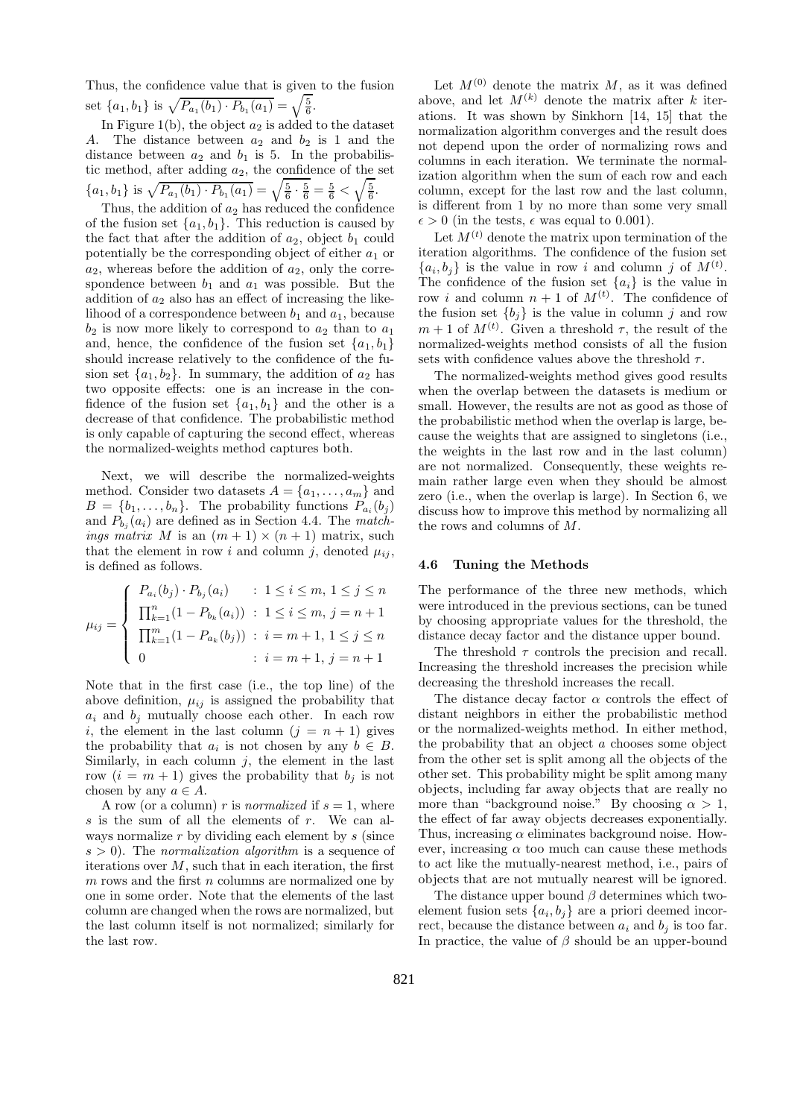Thus, the confidence value that is given to the fusion set  $\{a_1, b_1\}$  is  $\sqrt{P_{a_1}(b_1) \cdot P_{b_1}(a_1)} = \sqrt{\frac{5}{6}}$ .

In Figure 1(b), the object  $a_2$  is added to the dataset A. The distance between  $a_2$  and  $b_2$  is 1 and the distance between  $a_2$  and  $b_1$  is 5. In the probabilistic method, after adding  $a_2$ , the confidence of the set  ${a_1, b_1}$  is  $\sqrt{P_{a_1}(b_1) \cdot P_{b_1}(a_1)} = \sqrt{\frac{5}{6} \cdot \frac{5}{6}} = \frac{5}{6} < \sqrt{\frac{5}{6}}$ .

Thus, the addition of  $a_2$  has reduced the confidence of the fusion set  $\{a_1, b_1\}$ . This reduction is caused by the fact that after the addition of  $a_2$ , object  $b_1$  could potentially be the corresponding object of either  $a_1$  or  $a_2$ , whereas before the addition of  $a_2$ , only the correspondence between  $b_1$  and  $a_1$  was possible. But the addition of  $a_2$  also has an effect of increasing the likelihood of a correspondence between  $b_1$  and  $a_1$ , because  $b_2$  is now more likely to correspond to  $a_2$  than to  $a_1$ and, hence, the confidence of the fusion set  $\{a_1, b_1\}$ should increase relatively to the confidence of the fusion set  $\{a_1, b_2\}$ . In summary, the addition of  $a_2$  has two opposite effects: one is an increase in the confidence of the fusion set  $\{a_1, b_1\}$  and the other is a decrease of that confidence. The probabilistic method is only capable of capturing the second effect, whereas the normalized-weights method captures both.

Next, we will describe the normalized-weights method. Consider two datasets  $A = \{a_1, \ldots, a_m\}$  and  $B = \{b_1, \ldots, b_n\}$ . The probability functions  $P_{a_i}(b_j)$ and  $P_{b_j}(a_i)$  are defined as in Section 4.4. The matchings matrix M is an  $(m + 1) \times (n + 1)$  matrix, such that the element in row i and column j, denoted  $\mu_{ij}$ , is defined as follows.

$$
\mu_{ij} = \begin{cases}\nP_{a_i}(b_j) \cdot P_{b_j}(a_i) & : 1 \le i \le m, \ 1 \le j \le n \\
\prod_{k=1}^n (1 - P_{b_k}(a_i)) & : 1 \le i \le m, \ j = n+1 \\
\prod_{k=1}^m (1 - P_{a_k}(b_j)) & : i = m+1, \ 1 \le j \le n \\
0 & : i = m+1, \ j = n+1\n\end{cases}
$$

Note that in the first case (i.e., the top line) of the above definition,  $\mu_{ij}$  is assigned the probability that  $a_i$  and  $b_j$  mutually choose each other. In each row i, the element in the last column  $(j = n + 1)$  gives the probability that  $a_i$  is not chosen by any  $b \in B$ . Similarly, in each column  $j$ , the element in the last row  $(i = m + 1)$  gives the probability that  $b_j$  is not chosen by any  $a \in A$ .

A row (or a column) r is *normalized* if  $s = 1$ , where s is the sum of all the elements of  $r$ . We can always normalize  $r$  by dividing each element by  $s$  (since  $s > 0$ ). The *normalization algorithm* is a sequence of iterations over  $M$ , such that in each iteration, the first  $m$  rows and the first  $n$  columns are normalized one by one in some order. Note that the elements of the last column are changed when the rows are normalized, but the last column itself is not normalized; similarly for the last row.

Let  $M^{(0)}$  denote the matrix M, as it was defined above, and let  $M^{(k)}$  denote the matrix after k iterations. It was shown by Sinkhorn [14, 15] that the normalization algorithm converges and the result does not depend upon the order of normalizing rows and columns in each iteration. We terminate the normalization algorithm when the sum of each row and each column, except for the last row and the last column, is different from 1 by no more than some very small  $\epsilon > 0$  (in the tests,  $\epsilon$  was equal to 0.001).

Let  $M^{(t)}$  denote the matrix upon termination of the iteration algorithms. The confidence of the fusion set  $\{a_i, b_j\}$  is the value in row i and column j of  $M^{(t)}$ . The confidence of the fusion set  $\{a_i\}$  is the value in row *i* and column  $n + 1$  of  $M^{(t)}$ . The confidence of the fusion set  ${b_j}$  is the value in column j and row  $m+1$  of  $M^{(t)}$ . Given a threshold  $\tau$ , the result of the normalized-weights method consists of all the fusion sets with confidence values above the threshold  $\tau$ .

The normalized-weights method gives good results when the overlap between the datasets is medium or small. However, the results are not as good as those of the probabilistic method when the overlap is large, because the weights that are assigned to singletons (i.e., the weights in the last row and in the last column) are not normalized. Consequently, these weights remain rather large even when they should be almost zero (i.e., when the overlap is large). In Section 6, we discuss how to improve this method by normalizing all the rows and columns of M.

## 4.6 Tuning the Methods

The performance of the three new methods, which were introduced in the previous sections, can be tuned by choosing appropriate values for the threshold, the distance decay factor and the distance upper bound.

The threshold  $\tau$  controls the precision and recall. Increasing the threshold increases the precision while decreasing the threshold increases the recall.

The distance decay factor  $\alpha$  controls the effect of distant neighbors in either the probabilistic method or the normalized-weights method. In either method, the probability that an object a chooses some object from the other set is split among all the objects of the other set. This probability might be split among many objects, including far away objects that are really no more than "background noise." By choosing  $\alpha > 1$ , the effect of far away objects decreases exponentially. Thus, increasing  $\alpha$  eliminates background noise. However, increasing  $\alpha$  too much can cause these methods to act like the mutually-nearest method, i.e., pairs of objects that are not mutually nearest will be ignored.

The distance upper bound  $\beta$  determines which twoelement fusion sets  $\{a_i, b_j\}$  are a priori deemed incorrect, because the distance between  $a_i$  and  $b_j$  is too far. In practice, the value of  $\beta$  should be an upper-bound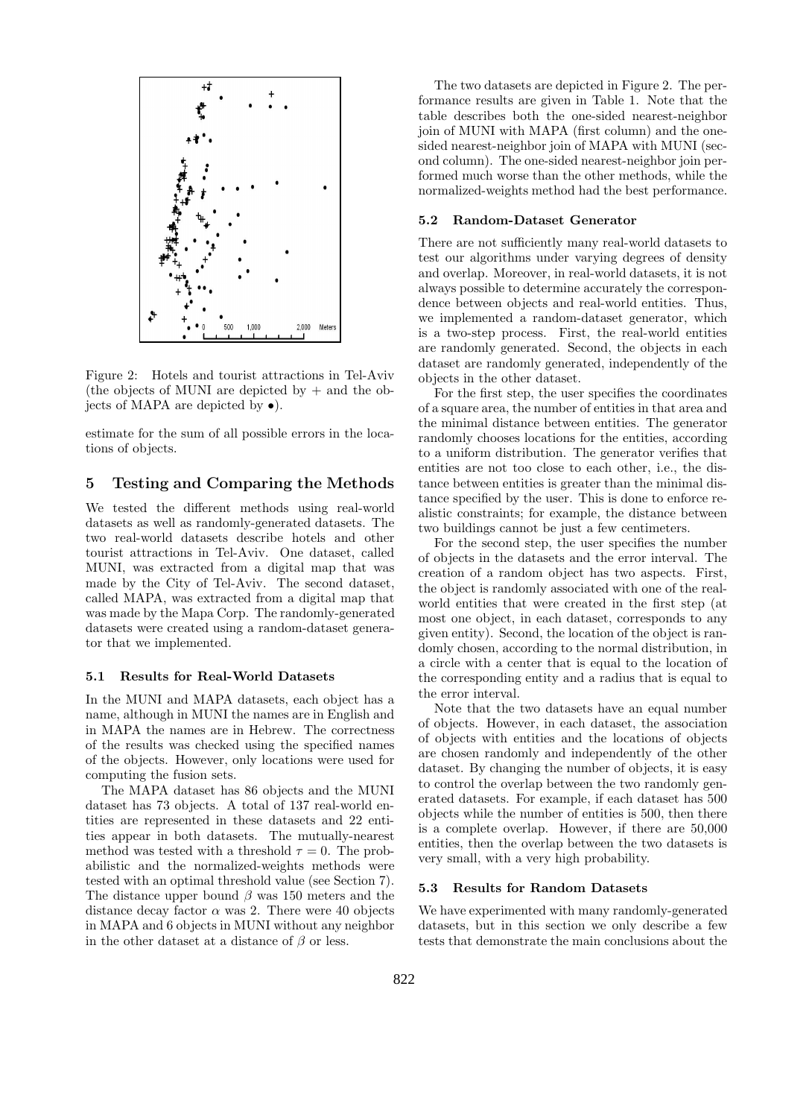

Figure 2: Hotels and tourist attractions in Tel-Aviv (the objects of MUNI are depicted by  $+$  and the objects of MAPA are depicted by •).

estimate for the sum of all possible errors in the locations of objects.

## 5 Testing and Comparing the Methods

We tested the different methods using real-world datasets as well as randomly-generated datasets. The two real-world datasets describe hotels and other tourist attractions in Tel-Aviv. One dataset, called MUNI, was extracted from a digital map that was made by the City of Tel-Aviv. The second dataset, called MAPA, was extracted from a digital map that was made by the Mapa Corp. The randomly-generated datasets were created using a random-dataset generator that we implemented.

## 5.1 Results for Real-World Datasets

In the MUNI and MAPA datasets, each object has a name, although in MUNI the names are in English and in MAPA the names are in Hebrew. The correctness of the results was checked using the specified names of the objects. However, only locations were used for computing the fusion sets.

The MAPA dataset has 86 objects and the MUNI dataset has 73 objects. A total of 137 real-world entities are represented in these datasets and 22 entities appear in both datasets. The mutually-nearest method was tested with a threshold  $\tau = 0$ . The probabilistic and the normalized-weights methods were tested with an optimal threshold value (see Section 7). The distance upper bound  $\beta$  was 150 meters and the distance decay factor  $\alpha$  was 2. There were 40 objects in MAPA and 6 objects in MUNI without any neighbor in the other dataset at a distance of  $\beta$  or less.

The two datasets are depicted in Figure 2. The performance results are given in Table 1. Note that the table describes both the one-sided nearest-neighbor join of MUNI with MAPA (first column) and the onesided nearest-neighbor join of MAPA with MUNI (second column). The one-sided nearest-neighbor join performed much worse than the other methods, while the normalized-weights method had the best performance.

## 5.2 Random-Dataset Generator

There are not sufficiently many real-world datasets to test our algorithms under varying degrees of density and overlap. Moreover, in real-world datasets, it is not always possible to determine accurately the correspondence between objects and real-world entities. Thus, we implemented a random-dataset generator, which is a two-step process. First, the real-world entities are randomly generated. Second, the objects in each dataset are randomly generated, independently of the objects in the other dataset.

For the first step, the user specifies the coordinates of a square area, the number of entities in that area and the minimal distance between entities. The generator randomly chooses locations for the entities, according to a uniform distribution. The generator verifies that entities are not too close to each other, i.e., the distance between entities is greater than the minimal distance specified by the user. This is done to enforce realistic constraints; for example, the distance between two buildings cannot be just a few centimeters.

For the second step, the user specifies the number of objects in the datasets and the error interval. The creation of a random object has two aspects. First, the object is randomly associated with one of the realworld entities that were created in the first step (at most one object, in each dataset, corresponds to any given entity). Second, the location of the object is randomly chosen, according to the normal distribution, in a circle with a center that is equal to the location of the corresponding entity and a radius that is equal to the error interval.

Note that the two datasets have an equal number of objects. However, in each dataset, the association of objects with entities and the locations of objects are chosen randomly and independently of the other dataset. By changing the number of objects, it is easy to control the overlap between the two randomly generated datasets. For example, if each dataset has 500 objects while the number of entities is 500, then there is a complete overlap. However, if there are 50,000 entities, then the overlap between the two datasets is very small, with a very high probability.

## 5.3 Results for Random Datasets

We have experimented with many randomly-generated datasets, but in this section we only describe a few tests that demonstrate the main conclusions about the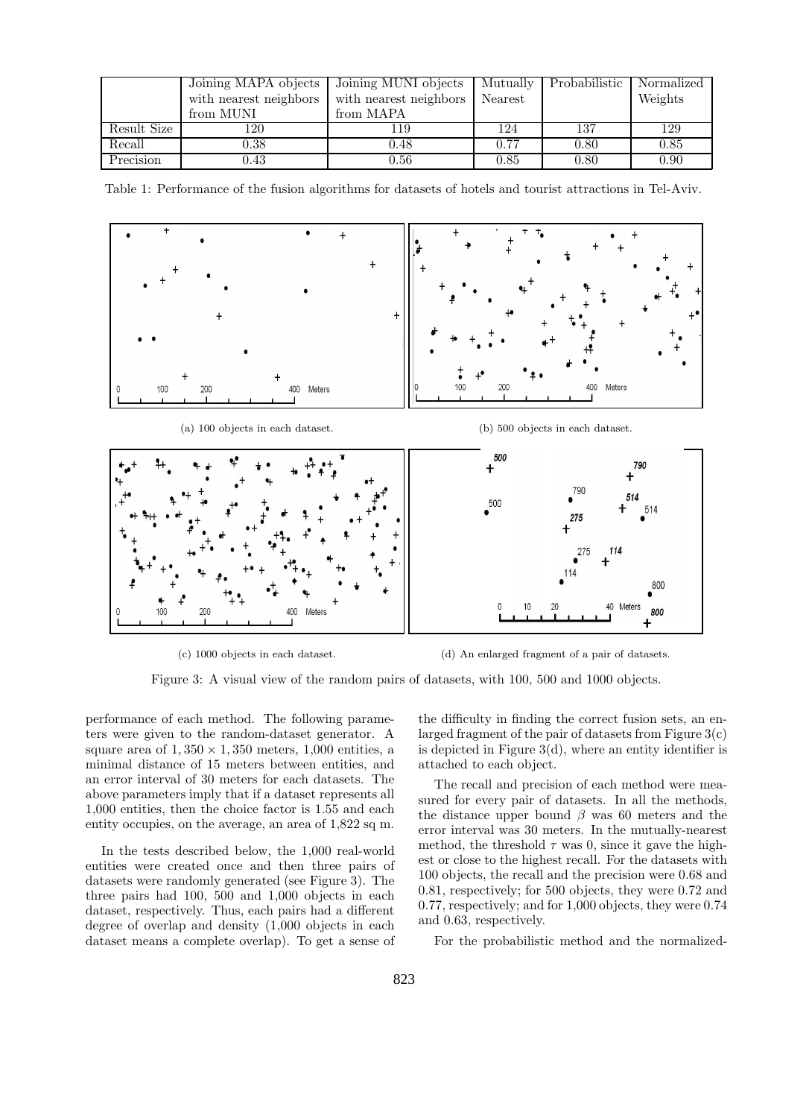|             | Joining MAPA objects   | Joining MUNI objects   | Mutually | Probabilistic | Normalized |
|-------------|------------------------|------------------------|----------|---------------|------------|
|             | with nearest neighbors | with nearest neighbors | Nearest  |               | Weights    |
|             | from MUNI              | from MAPA              |          |               |            |
| Result Size | 120                    | 119                    | 124      | 137           | 129        |
| Recall      | 0.38                   | 0.48                   | 0.77     | 0.80          | 0.85       |
| Precision   | $\rm 0.43$             | 0.56                   | 0.85     | 0.80          | 0.90       |

Table 1: Performance of the fusion algorithms for datasets of hotels and tourist attractions in Tel-Aviv.



(c) 1000 objects in each dataset. (d) An enlarged fragment of a pair of datasets.

Figure 3: A visual view of the random pairs of datasets, with 100, 500 and 1000 objects.

performance of each method. The following parameters were given to the random-dataset generator. A square area of  $1,350 \times 1,350$  meters, 1,000 entities, a minimal distance of 15 meters between entities, and an error interval of 30 meters for each datasets. The above parameters imply that if a dataset represents all 1,000 entities, then the choice factor is 1.55 and each entity occupies, on the average, an area of 1,822 sq m.

In the tests described below, the 1,000 real-world entities were created once and then three pairs of datasets were randomly generated (see Figure 3). The three pairs had 100, 500 and 1,000 objects in each dataset, respectively. Thus, each pairs had a different degree of overlap and density (1,000 objects in each dataset means a complete overlap). To get a sense of

the difficulty in finding the correct fusion sets, an enlarged fragment of the pair of datasets from Figure 3(c) is depicted in Figure  $3(d)$ , where an entity identifier is attached to each object.

The recall and precision of each method were measured for every pair of datasets. In all the methods, the distance upper bound  $\beta$  was 60 meters and the error interval was 30 meters. In the mutually-nearest method, the threshold  $\tau$  was 0, since it gave the highest or close to the highest recall. For the datasets with 100 objects, the recall and the precision were 0.68 and 0.81, respectively; for 500 objects, they were 0.72 and 0.77, respectively; and for 1,000 objects, they were 0.74 and 0.63, respectively.

For the probabilistic method and the normalized-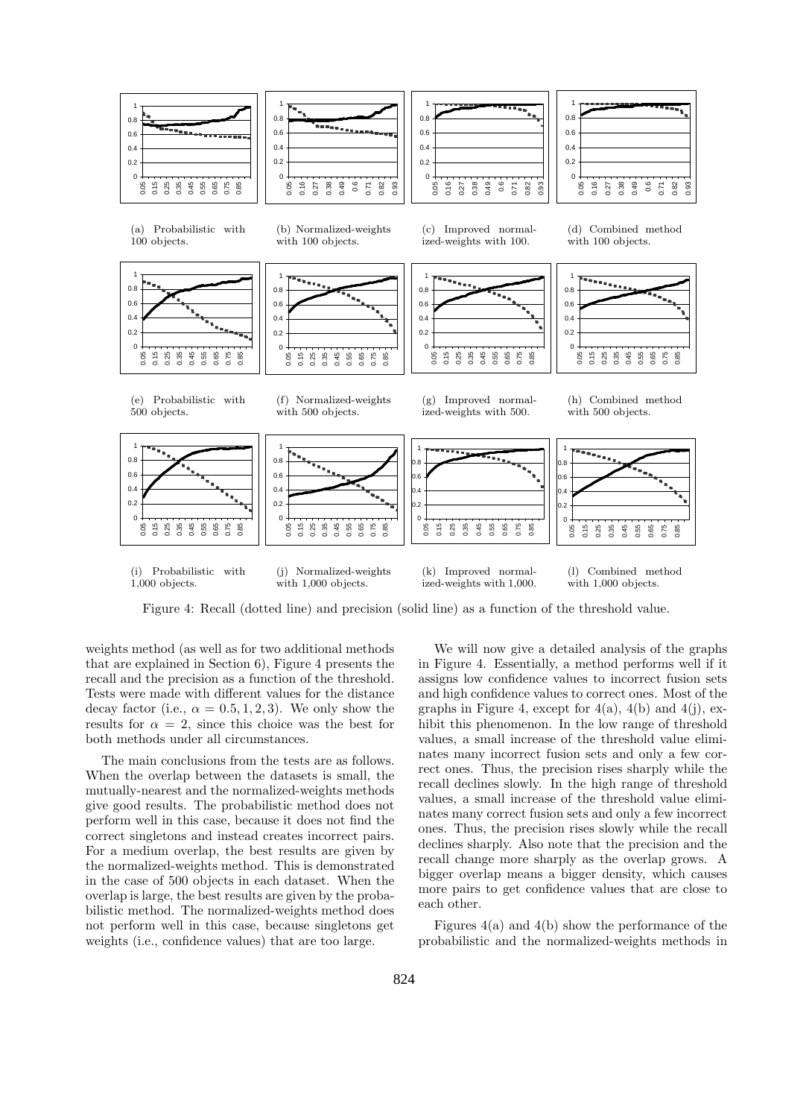

Figure 4: Recall (dotted line) and precision (solid line) as a function of the threshold value.

weights method (as well as for two additional methods that are explained in Section 6), Figure 4 presents the recall and the precision as a function of the threshold. Tests were made with different values for the distance decay factor (i.e.,  $\alpha = 0.5, 1, 2, 3$ ). We only show the results for  $\alpha = 2$ , since this choice was the best for both methods under all circumstances.

The main conclusions from the tests are as follows. When the overlap between the datasets is small, the mutually-nearest and the normalized-weights methods give good results. The probabilistic method does not perform well in this case, because it does not find the correct singletons and instead creates incorrect pairs. For a medium overlap, the best results are given by the normalized-weights method. This is demonstrated in the case of 500 objects in each dataset. When the overlap is large, the best results are given by the probabilistic method. The normalized-weights method does not perform well in this case, because singletons get weights (i.e., confidence values) that are too large.

We will now give a detailed analysis of the graphs in Figure 4. Essentially, a method performs well if it assigns low confidence values to incorrect fusion sets and high confidence values to correct ones. Most of the graphs in Figure 4, except for  $4(a)$ ,  $4(b)$  and  $4(j)$ , exhibit this phenomenon. In the low range of threshold values, a small increase of the threshold value eliminates many incorrect fusion sets and only a few correct ones. Thus, the precision rises sharply while the recall declines slowly. In the high range of threshold values, a small increase of the threshold value eliminates many correct fusion sets and only a few incorrect ones. Thus, the precision rises slowly while the recall declines sharply. Also note that the precision and the recall change more sharply as the overlap grows. A bigger overlap means a bigger density, which causes more pairs to get confidence values that are close to each other.

Figures  $4(a)$  and  $4(b)$  show the performance of the probabilistic and the normalized-weights methods in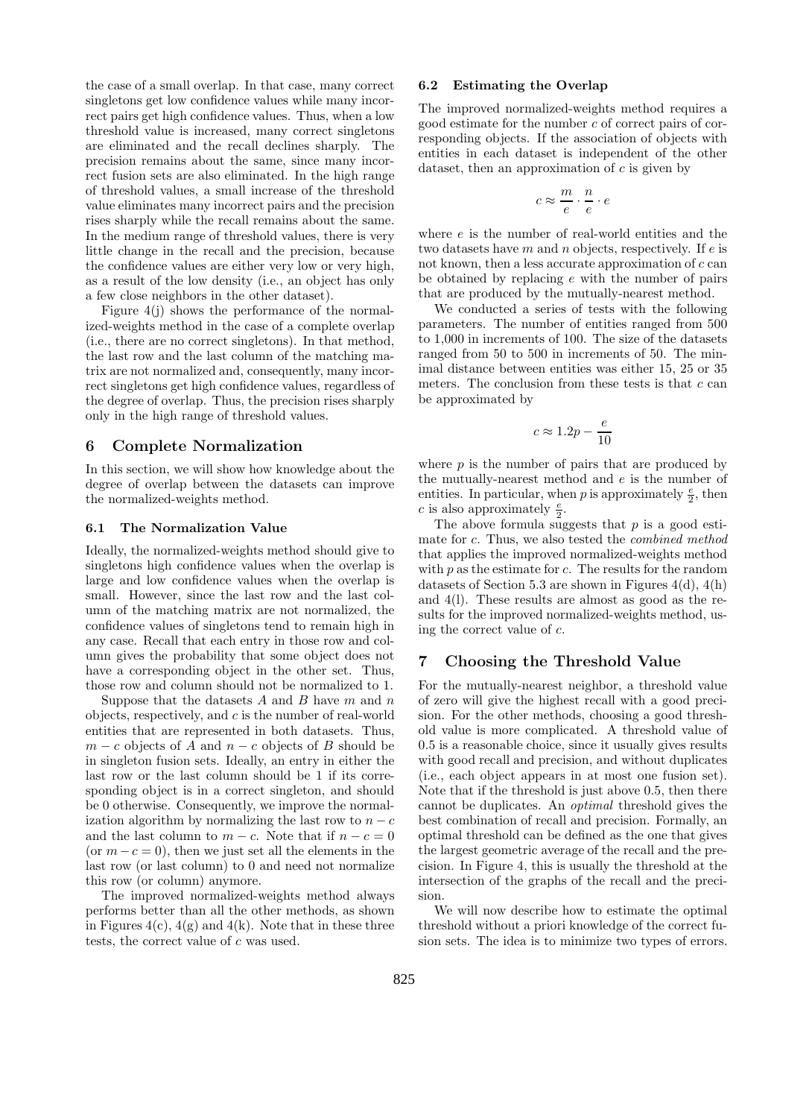the case of a small overlap. In that case, many correct singletons get low confidence values while many incorrect pairs get high confidence values. Thus, when a low threshold value is increased, many correct singletons are eliminated and the recall declines sharply. The precision remains about the same, since many incorrect fusion sets are also eliminated. In the high range of threshold values, a small increase of the threshold value eliminates many incorrect pairs and the precision rises sharply while the recall remains about the same. In the medium range of threshold values, there is very little change in the recall and the precision, because the confidence values are either very low or very high, as a result of the low density (i.e., an object has only a few close neighbors in the other dataset).

Figure 4(j) shows the performance of the normalized-weights method in the case of a complete overlap (i.e., there are no correct singletons). In that method, the last row and the last column of the matching matrix are not normalized and, consequently, many incorrect singletons get high confidence values, regardless of the degree of overlap. Thus, the precision rises sharply only in the high range of threshold values.

# 6 Complete Normalization

In this section, we will show how knowledge about the degree of overlap between the datasets can improve the normalized-weights method.

#### 6.1 The Normalization Value

Ideally, the normalized-weights method should give to singletons high confidence values when the overlap is large and low confidence values when the overlap is small. However, since the last row and the last column of the matching matrix are not normalized, the confidence values of singletons tend to remain high in any case. Recall that each entry in those row and column gives the probability that some object does not have a corresponding object in the other set. Thus, those row and column should not be normalized to 1.

Suppose that the datasets A and B have  $m$  and  $n$ objects, respectively, and  $c$  is the number of real-world entities that are represented in both datasets. Thus,  $m - c$  objects of A and  $n - c$  objects of B should be in singleton fusion sets. Ideally, an entry in either the last row or the last column should be 1 if its corresponding object is in a correct singleton, and should be 0 otherwise. Consequently, we improve the normalization algorithm by normalizing the last row to  $n - c$ and the last column to  $m - c$ . Note that if  $n - c = 0$ (or  $m-c=0$ ), then we just set all the elements in the last row (or last column) to 0 and need not normalize this row (or column) anymore.

The improved normalized-weights method always performs better than all the other methods, as shown in Figures  $4(c)$ ,  $4(g)$  and  $4(k)$ . Note that in these three tests, the correct value of c was used.

## 6.2 Estimating the Overlap

The improved normalized-weights method requires a good estimate for the number c of correct pairs of corresponding objects. If the association of objects with entities in each dataset is independent of the other dataset, then an approximation of  $c$  is given by

$$
c \approx \frac{m}{e} \cdot \frac{n}{e} \cdot e
$$

where  $e$  is the number of real-world entities and the two datasets have  $m$  and  $n$  objects, respectively. If  $e$  is not known, then a less accurate approximation of c can be obtained by replacing e with the number of pairs that are produced by the mutually-nearest method.

We conducted a series of tests with the following parameters. The number of entities ranged from 500 to 1,000 in increments of 100. The size of the datasets ranged from 50 to 500 in increments of 50. The minimal distance between entities was either 15, 25 or 35 meters. The conclusion from these tests is that  $c$  can be approximated by

$$
c \approx 1.2p - \frac{e}{10}
$$

where  $p$  is the number of pairs that are produced by the mutually-nearest method and e is the number of entities. In particular, when p is approximately  $\frac{e}{2}$ , then c is also approximately  $\frac{e}{2}$ .

The above formula suggests that  $p$  is a good estimate for c. Thus, we also tested the *combined method* that applies the improved normalized-weights method with  $p$  as the estimate for  $c$ . The results for the random datasets of Section 5.3 are shown in Figures 4(d), 4(h) and 4(l). These results are almost as good as the results for the improved normalized-weights method, using the correct value of c.

## 7 Choosing the Threshold Value

For the mutually-nearest neighbor, a threshold value of zero will give the highest recall with a good precision. For the other methods, choosing a good threshold value is more complicated. A threshold value of 0.5 is a reasonable choice, since it usually gives results with good recall and precision, and without duplicates (i.e., each object appears in at most one fusion set). Note that if the threshold is just above 0.5, then there cannot be duplicates. An optimal threshold gives the best combination of recall and precision. Formally, an optimal threshold can be defined as the one that gives the largest geometric average of the recall and the precision. In Figure 4, this is usually the threshold at the intersection of the graphs of the recall and the precision.

We will now describe how to estimate the optimal threshold without a priori knowledge of the correct fusion sets. The idea is to minimize two types of errors.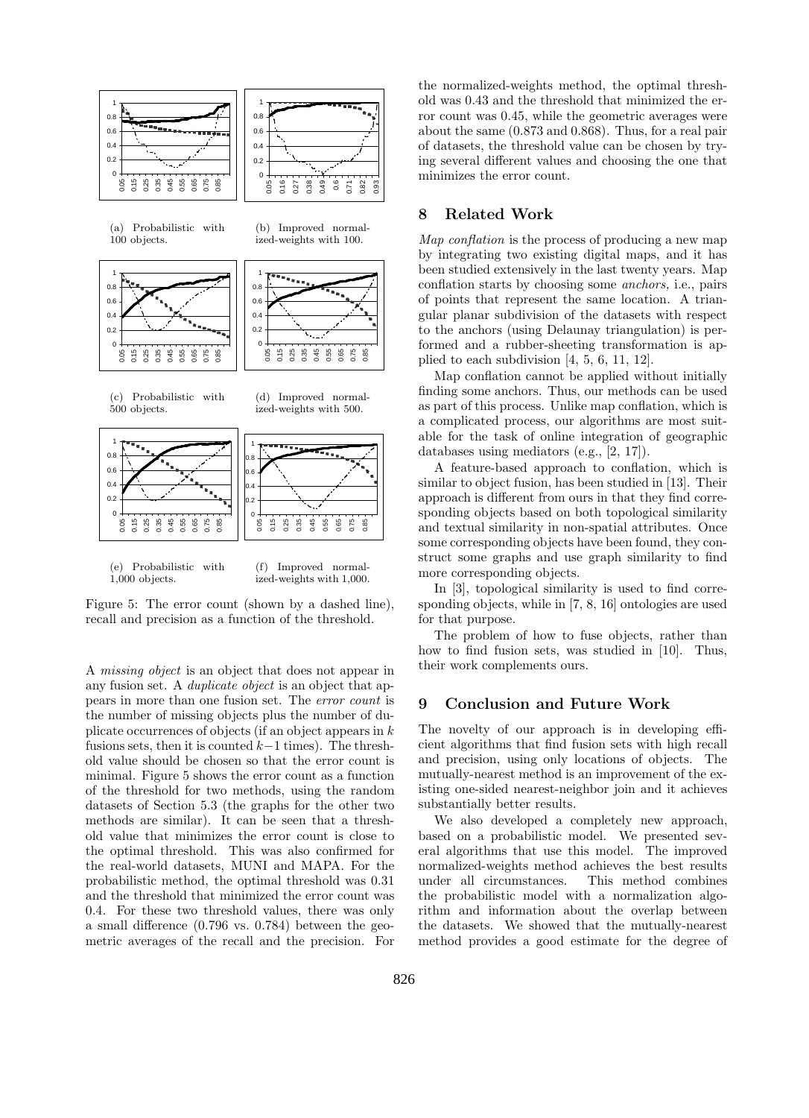

(e) Probabilistic with 1,000 objects.

(f) Improved normalized-weights with 1,000.

Figure 5: The error count (shown by a dashed line), recall and precision as a function of the threshold.

A missing object is an object that does not appear in any fusion set. A *duplicate object* is an object that appears in more than one fusion set. The error count is the number of missing objects plus the number of duplicate occurrences of objects (if an object appears in  $k$ ) fusions sets, then it is counted  $k-1$  times). The threshold value should be chosen so that the error count is minimal. Figure 5 shows the error count as a function of the threshold for two methods, using the random datasets of Section 5.3 (the graphs for the other two methods are similar). It can be seen that a threshold value that minimizes the error count is close to the optimal threshold. This was also confirmed for the real-world datasets, MUNI and MAPA. For the probabilistic method, the optimal threshold was 0.31 and the threshold that minimized the error count was 0.4. For these two threshold values, there was only a small difference (0.796 vs. 0.784) between the geometric averages of the recall and the precision. For the normalized-weights method, the optimal threshold was 0.43 and the threshold that minimized the error count was 0.45, while the geometric averages were about the same (0.873 and 0.868). Thus, for a real pair of datasets, the threshold value can be chosen by trying several different values and choosing the one that minimizes the error count.

# 8 Related Work

Map conflation is the process of producing a new map by integrating two existing digital maps, and it has been studied extensively in the last twenty years. Map conflation starts by choosing some anchors, i.e., pairs of points that represent the same location. A triangular planar subdivision of the datasets with respect to the anchors (using Delaunay triangulation) is performed and a rubber-sheeting transformation is applied to each subdivision [4, 5, 6, 11, 12].

Map conflation cannot be applied without initially finding some anchors. Thus, our methods can be used as part of this process. Unlike map conflation, which is a complicated process, our algorithms are most suitable for the task of online integration of geographic databases using mediators (e.g., [2, 17]).

A feature-based approach to conflation, which is similar to object fusion, has been studied in [13]. Their approach is different from ours in that they find corresponding objects based on both topological similarity and textual similarity in non-spatial attributes. Once some corresponding objects have been found, they construct some graphs and use graph similarity to find more corresponding objects.

In [3], topological similarity is used to find corresponding objects, while in [7, 8, 16] ontologies are used for that purpose.

The problem of how to fuse objects, rather than how to find fusion sets, was studied in [10]. Thus, their work complements ours.

# 9 Conclusion and Future Work

The novelty of our approach is in developing efficient algorithms that find fusion sets with high recall and precision, using only locations of objects. The mutually-nearest method is an improvement of the existing one-sided nearest-neighbor join and it achieves substantially better results.

We also developed a completely new approach, based on a probabilistic model. We presented several algorithms that use this model. The improved normalized-weights method achieves the best results under all circumstances. This method combines the probabilistic model with a normalization algorithm and information about the overlap between the datasets. We showed that the mutually-nearest method provides a good estimate for the degree of